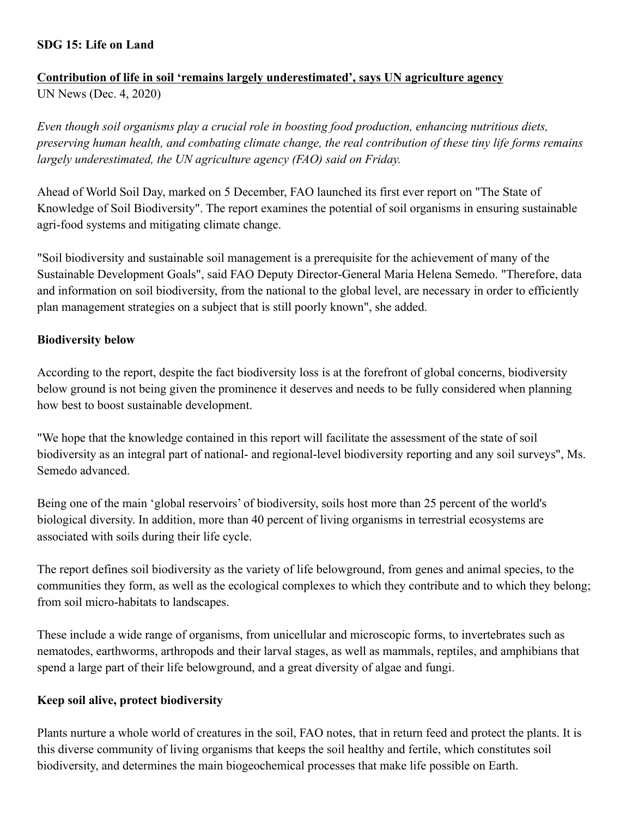## **SDG 15: Life on Land**

# **Contribution of life in soil 'remains largely underestimated', says UN agriculture agency**

UN News (Dec. 4, 2020)

*Even though soil organisms play a crucial role in boosting food production, enhancing nutritious diets, preserving human health, and combating climate change, the real contribution of these tiny life forms remains largely underestimated, the UN agriculture agency (FAO) said on Friday.*

Ahead of World Soil Day, marked on 5 December, FAO launched its first ever report on "The State of Knowledge of Soil Biodiversity". The report examines the potential of soil organisms in ensuring sustainable agri-food systems and mitigating climate change.

"Soil biodiversity and sustainable soil management is a prerequisite for the achievement of many of the Sustainable Development Goals", said FAO Deputy Director-General Maria Helena Semedo. "Therefore, data and information on soil biodiversity, from the national to the global level, are necessary in order to efficiently plan management strategies on a subject that is still poorly known", she added.

# **Biodiversity below**

According to the report, despite the fact biodiversity loss is at the forefront of global concerns, biodiversity below ground is not being given the prominence it deserves and needs to be fully considered when planning how best to boost sustainable development.

"We hope that the knowledge contained in this report will facilitate the assessment of the state of soil biodiversity as an integral part of national- and regional-level biodiversity reporting and any soil surveys", Ms. Semedo advanced.

Being one of the main 'global reservoirs' of biodiversity, soils host more than 25 percent of the world's biological diversity. In addition, more than 40 percent of living organisms in terrestrial ecosystems are associated with soils during their life cycle.

The report defines soil biodiversity as the variety of life belowground, from genes and animal species, to the communities they form, as well as the ecological complexes to which they contribute and to which they belong; from soil micro-habitats to landscapes.

These include a wide range of organisms, from unicellular and microscopic forms, to invertebrates such as nematodes, earthworms, arthropods and their larval stages, as well as mammals, reptiles, and amphibians that spend a large part of their life belowground, and a great diversity of algae and fungi.

# **Keep soil alive, protect biodiversity**

Plants nurture a whole world of creatures in the soil, FAO notes, that in return feed and protect the plants. It is this diverse community of living organisms that keeps the soil healthy and fertile, which constitutes soil biodiversity, and determines the main biogeochemical processes that make life possible on Earth.